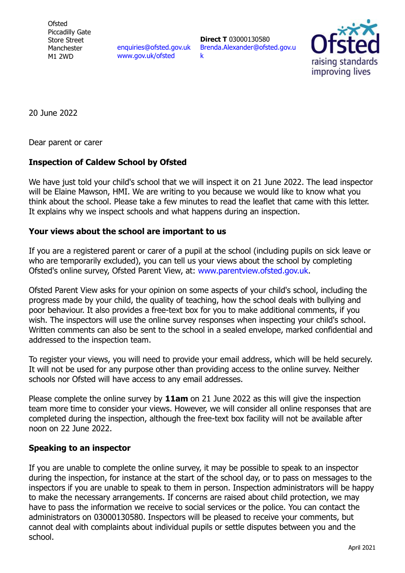**Ofsted** Piccadilly Gate Store Street Manchester M1 2WD

[enquiries@ofsted.gov.uk](mailto:enquiries@ofsted.gov.uk) [www.gov.uk/ofsted](http://www.gov.uk/ofsted)

**Direct T** 03000130580 [Brenda.Alexander@ofsted.gov.u](mailto:Brenda.Alexander@ofsted.gov.uk) [k](mailto:Brenda.Alexander@ofsted.gov.uk)



20 June 2022

Dear parent or carer

## **Inspection of Caldew School by Ofsted**

We have just told your child's school that we will inspect it on 21 June 2022. The lead inspector will be Elaine Mawson, HMI. We are writing to you because we would like to know what you think about the school. Please take a few minutes to read the leaflet that came with this letter. It explains why we inspect schools and what happens during an inspection.

## **Your views about the school are important to us**

If you are a registered parent or carer of a pupil at the school (including pupils on sick leave or who are temporarily excluded), you can tell us your views about the school by completing Ofsted's online survey, Ofsted Parent View, at: [www.parentview.ofsted.gov.uk.](http://www.parentview.ofsted.gov.uk/)

Ofsted Parent View asks for your opinion on some aspects of your child's school, including the progress made by your child, the quality of teaching, how the school deals with bullying and poor behaviour. It also provides a free-text box for you to make additional comments, if you wish. The inspectors will use the online survey responses when inspecting your child's school. Written comments can also be sent to the school in a sealed envelope, marked confidential and addressed to the inspection team.

To register your views, you will need to provide your email address, which will be held securely. It will not be used for any purpose other than providing access to the online survey. Neither schools nor Ofsted will have access to any email addresses.

Please complete the online survey by **11am** on 21 June 2022 as this will give the inspection team more time to consider your views. However, we will consider all online responses that are completed during the inspection, although the free-text box facility will not be available after noon on 22 June 2022.

## **Speaking to an inspector**

If you are unable to complete the online survey, it may be possible to speak to an inspector during the inspection, for instance at the start of the school day, or to pass on messages to the inspectors if you are unable to speak to them in person. Inspection administrators will be happy to make the necessary arrangements. If concerns are raised about child protection, we may have to pass the information we receive to social services or the police. You can contact the administrators on 03000130580. Inspectors will be pleased to receive your comments, but cannot deal with complaints about individual pupils or settle disputes between you and the school.